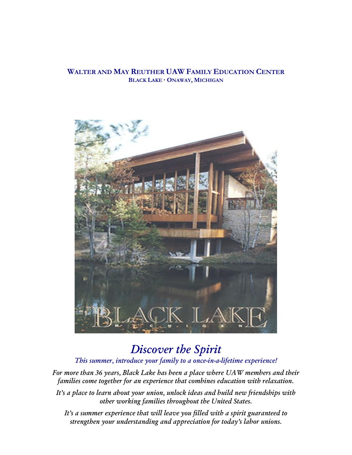### **WALTER AND MAY REUTHER UAW FAMILY EDUCATION CENTER BLACK LAKE · ONAWAY, MICHIGAN**



## *Discover the Spirit*

### *This summer, introduce your family to a once-in-a-lifetime experience!*

*For more than 36 years, Black Lake has been a place where UAW members and their families come together for an experience that combines education with relaxation.*

*It's a place to learn about your union, unlock ideas and build new friendships with other working families throughout the United States.*

*It's a summer experience that will leave you filled with a spirit guaranteed to strengthen your understanding and appreciation for today's labor unions.*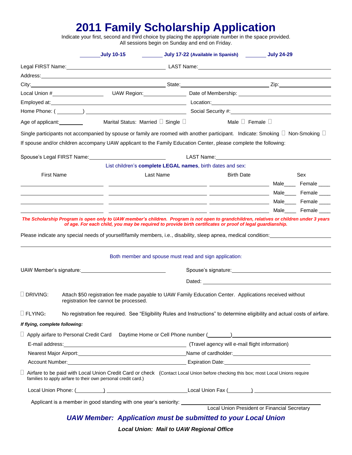# **2011 Family Scholarship Application**

Indicate your first, second and third choice by placing the appropriate number in the space provided. All sessions begin on Sunday and end on Friday.

| Address: National Address: National Address: National Address: National Address: National Address: National Address: National Address: National Address: National Address: National Address: National Address: National Addres<br>Local Union #__________________________UAW Region:________________Date of Membership: ________________________<br>Male $\square$ Female $\square$<br>Marital Status: Married $\square$ Single $\square$<br>Age of applicant: <u>example</u><br>Single participants not accompanied by spouse or family are roomed with another participant. Indicate: Smoking $\Box$ Non-Smoking $\Box$<br>If spouse and/or children accompany UAW applicant to the Family Education Center, please complete the following:<br>Spouse's Legal FIRST Name: \\cdot \\cdot \\cdot \\cdot \\cdot \\cdot \\cdot \\cdot \\cdot \\cdot \\cdot \\cdot \\cdot \\cdot \\cdot \\cdot \\cdot \\cdot \\cdot \\cdot \\cdot \\cdot \\cdot \\cdot \\cdot \\cdot \\cdot \\cdot<br>LAST Name: Name: Name of the Manual Assembly the Manual Assembly of the Manual Assembly of the Manual Assembly<br>List children's complete LEGAL names, birth dates and sex:<br><b>First Name</b><br>Last Name<br><b>Birth Date</b><br><b>Male</b> Female <b>Contract Contract Contract Contract Contract Contract Contract Contract Contract Contract Contract Contract Contract Contract Contract Contract Contract Contract Contract Contract Contract Contract Contract </b><br>Male Female Land Contract Contract Male Land Contract Contract Contract Contract Contract Contract Contract Contract Contract Contract Contract Contract Contract Contract Contract Contract Contract Contract Contract Contra<br>The Scholarship Program is open only to UAW member's children. Program is not open to grandchildren, relatives or children under 3 years<br>of age. For each child, you may be required to provide birth certificates or proof of legal guardianship.<br>Please indicate any special needs of yourself/family members, i.e., disability, sleep apnea, medical condition:<br>Both member and spouse must read and sign application:<br>UAW Member's signature: UAW Member's signature:<br>Spouse's signature: Spouse's signature:<br>Dated: the contract of the contract of the contract of the contract of the contract of the contract of the contract of the contract of the contract of the contract of the contract of the contract of the contract of the con<br>$\Box$ DRIVING:<br>Attach \$50 registration fee made payable to UAW Family Education Center. Applications received without<br>registration fee cannot be processed.<br>$\square$ FLYING:<br>No registration fee required. See "Eligibility Rules and Instructions" to determine eligibility and actual costs of airfare.<br>If flying, complete following:<br>Nearest Major Airport: <u>Conserver Communications</u> Channel Manne of cardholder: Conserver Channel Major Airport:<br>□ Airfare to be paid with Local Union Credit Card or check (Contact Local Union before checking this box; most Local Unions require<br>families to apply airfare to their own personal credit card.)<br>Local Union Phone: (Channel All Contract Contract Contract Contract Contract Contract Contract Contract Contract Contract Contract Contract Contract Contract Contract Contract Contract Contract Contract Contract Contract C<br>Applicant is a member in good standing with one year's seniority: Local Union President or Financial Secretary | July 17-22 (Available in Spanish) Community 24-29 |
|-------------------------------------------------------------------------------------------------------------------------------------------------------------------------------------------------------------------------------------------------------------------------------------------------------------------------------------------------------------------------------------------------------------------------------------------------------------------------------------------------------------------------------------------------------------------------------------------------------------------------------------------------------------------------------------------------------------------------------------------------------------------------------------------------------------------------------------------------------------------------------------------------------------------------------------------------------------------------------------------------------------------------------------------------------------------------------------------------------------------------------------------------------------------------------------------------------------------------------------------------------------------------------------------------------------------------------------------------------------------------------------------------------------------------------------------------------------------------------------------------------------------------------------------------------------------------------------------------------------------------------------------------------------------------------------------------------------------------------------------------------------------------------------------------------------------------------------------------------------------------------------------------------------------------------------------------------------------------------------------------------------------------------------------------------------------------------------------------------------------------------------------------------------------------------------------------------------------------------------------------------------------------------------------------------------------------------------------------------------------------------------------------------------------------------------------------------------------------------------------------------------------------------------------------------------------------------------------------------------------------------------------------------------------------------------------------------------------------------------------------------------------------------------------------------------------------------------------------------------------------------------------------------------------------------------------------------------------------------------------------------------------------------------------------------------------------------------------------------------------------------------------------------------------------------------------------------------------------------------------------------------------------------------------------------------------------------------------------------------------------------------------------------------------------------------------------------------------------------------------------------------------------------|---------------------------------------------------|
|                                                                                                                                                                                                                                                                                                                                                                                                                                                                                                                                                                                                                                                                                                                                                                                                                                                                                                                                                                                                                                                                                                                                                                                                                                                                                                                                                                                                                                                                                                                                                                                                                                                                                                                                                                                                                                                                                                                                                                                                                                                                                                                                                                                                                                                                                                                                                                                                                                                                                                                                                                                                                                                                                                                                                                                                                                                                                                                                                                                                                                                                                                                                                                                                                                                                                                                                                                                                                                                                                                                               |                                                   |
|                                                                                                                                                                                                                                                                                                                                                                                                                                                                                                                                                                                                                                                                                                                                                                                                                                                                                                                                                                                                                                                                                                                                                                                                                                                                                                                                                                                                                                                                                                                                                                                                                                                                                                                                                                                                                                                                                                                                                                                                                                                                                                                                                                                                                                                                                                                                                                                                                                                                                                                                                                                                                                                                                                                                                                                                                                                                                                                                                                                                                                                                                                                                                                                                                                                                                                                                                                                                                                                                                                                               |                                                   |
|                                                                                                                                                                                                                                                                                                                                                                                                                                                                                                                                                                                                                                                                                                                                                                                                                                                                                                                                                                                                                                                                                                                                                                                                                                                                                                                                                                                                                                                                                                                                                                                                                                                                                                                                                                                                                                                                                                                                                                                                                                                                                                                                                                                                                                                                                                                                                                                                                                                                                                                                                                                                                                                                                                                                                                                                                                                                                                                                                                                                                                                                                                                                                                                                                                                                                                                                                                                                                                                                                                                               |                                                   |
|                                                                                                                                                                                                                                                                                                                                                                                                                                                                                                                                                                                                                                                                                                                                                                                                                                                                                                                                                                                                                                                                                                                                                                                                                                                                                                                                                                                                                                                                                                                                                                                                                                                                                                                                                                                                                                                                                                                                                                                                                                                                                                                                                                                                                                                                                                                                                                                                                                                                                                                                                                                                                                                                                                                                                                                                                                                                                                                                                                                                                                                                                                                                                                                                                                                                                                                                                                                                                                                                                                                               |                                                   |
|                                                                                                                                                                                                                                                                                                                                                                                                                                                                                                                                                                                                                                                                                                                                                                                                                                                                                                                                                                                                                                                                                                                                                                                                                                                                                                                                                                                                                                                                                                                                                                                                                                                                                                                                                                                                                                                                                                                                                                                                                                                                                                                                                                                                                                                                                                                                                                                                                                                                                                                                                                                                                                                                                                                                                                                                                                                                                                                                                                                                                                                                                                                                                                                                                                                                                                                                                                                                                                                                                                                               |                                                   |
|                                                                                                                                                                                                                                                                                                                                                                                                                                                                                                                                                                                                                                                                                                                                                                                                                                                                                                                                                                                                                                                                                                                                                                                                                                                                                                                                                                                                                                                                                                                                                                                                                                                                                                                                                                                                                                                                                                                                                                                                                                                                                                                                                                                                                                                                                                                                                                                                                                                                                                                                                                                                                                                                                                                                                                                                                                                                                                                                                                                                                                                                                                                                                                                                                                                                                                                                                                                                                                                                                                                               |                                                   |
|                                                                                                                                                                                                                                                                                                                                                                                                                                                                                                                                                                                                                                                                                                                                                                                                                                                                                                                                                                                                                                                                                                                                                                                                                                                                                                                                                                                                                                                                                                                                                                                                                                                                                                                                                                                                                                                                                                                                                                                                                                                                                                                                                                                                                                                                                                                                                                                                                                                                                                                                                                                                                                                                                                                                                                                                                                                                                                                                                                                                                                                                                                                                                                                                                                                                                                                                                                                                                                                                                                                               |                                                   |
|                                                                                                                                                                                                                                                                                                                                                                                                                                                                                                                                                                                                                                                                                                                                                                                                                                                                                                                                                                                                                                                                                                                                                                                                                                                                                                                                                                                                                                                                                                                                                                                                                                                                                                                                                                                                                                                                                                                                                                                                                                                                                                                                                                                                                                                                                                                                                                                                                                                                                                                                                                                                                                                                                                                                                                                                                                                                                                                                                                                                                                                                                                                                                                                                                                                                                                                                                                                                                                                                                                                               |                                                   |
|                                                                                                                                                                                                                                                                                                                                                                                                                                                                                                                                                                                                                                                                                                                                                                                                                                                                                                                                                                                                                                                                                                                                                                                                                                                                                                                                                                                                                                                                                                                                                                                                                                                                                                                                                                                                                                                                                                                                                                                                                                                                                                                                                                                                                                                                                                                                                                                                                                                                                                                                                                                                                                                                                                                                                                                                                                                                                                                                                                                                                                                                                                                                                                                                                                                                                                                                                                                                                                                                                                                               |                                                   |
|                                                                                                                                                                                                                                                                                                                                                                                                                                                                                                                                                                                                                                                                                                                                                                                                                                                                                                                                                                                                                                                                                                                                                                                                                                                                                                                                                                                                                                                                                                                                                                                                                                                                                                                                                                                                                                                                                                                                                                                                                                                                                                                                                                                                                                                                                                                                                                                                                                                                                                                                                                                                                                                                                                                                                                                                                                                                                                                                                                                                                                                                                                                                                                                                                                                                                                                                                                                                                                                                                                                               |                                                   |
|                                                                                                                                                                                                                                                                                                                                                                                                                                                                                                                                                                                                                                                                                                                                                                                                                                                                                                                                                                                                                                                                                                                                                                                                                                                                                                                                                                                                                                                                                                                                                                                                                                                                                                                                                                                                                                                                                                                                                                                                                                                                                                                                                                                                                                                                                                                                                                                                                                                                                                                                                                                                                                                                                                                                                                                                                                                                                                                                                                                                                                                                                                                                                                                                                                                                                                                                                                                                                                                                                                                               |                                                   |
|                                                                                                                                                                                                                                                                                                                                                                                                                                                                                                                                                                                                                                                                                                                                                                                                                                                                                                                                                                                                                                                                                                                                                                                                                                                                                                                                                                                                                                                                                                                                                                                                                                                                                                                                                                                                                                                                                                                                                                                                                                                                                                                                                                                                                                                                                                                                                                                                                                                                                                                                                                                                                                                                                                                                                                                                                                                                                                                                                                                                                                                                                                                                                                                                                                                                                                                                                                                                                                                                                                                               | Sex                                               |
|                                                                                                                                                                                                                                                                                                                                                                                                                                                                                                                                                                                                                                                                                                                                                                                                                                                                                                                                                                                                                                                                                                                                                                                                                                                                                                                                                                                                                                                                                                                                                                                                                                                                                                                                                                                                                                                                                                                                                                                                                                                                                                                                                                                                                                                                                                                                                                                                                                                                                                                                                                                                                                                                                                                                                                                                                                                                                                                                                                                                                                                                                                                                                                                                                                                                                                                                                                                                                                                                                                                               | Male_____ Female ____                             |
|                                                                                                                                                                                                                                                                                                                                                                                                                                                                                                                                                                                                                                                                                                                                                                                                                                                                                                                                                                                                                                                                                                                                                                                                                                                                                                                                                                                                                                                                                                                                                                                                                                                                                                                                                                                                                                                                                                                                                                                                                                                                                                                                                                                                                                                                                                                                                                                                                                                                                                                                                                                                                                                                                                                                                                                                                                                                                                                                                                                                                                                                                                                                                                                                                                                                                                                                                                                                                                                                                                                               |                                                   |
|                                                                                                                                                                                                                                                                                                                                                                                                                                                                                                                                                                                                                                                                                                                                                                                                                                                                                                                                                                                                                                                                                                                                                                                                                                                                                                                                                                                                                                                                                                                                                                                                                                                                                                                                                                                                                                                                                                                                                                                                                                                                                                                                                                                                                                                                                                                                                                                                                                                                                                                                                                                                                                                                                                                                                                                                                                                                                                                                                                                                                                                                                                                                                                                                                                                                                                                                                                                                                                                                                                                               |                                                   |
|                                                                                                                                                                                                                                                                                                                                                                                                                                                                                                                                                                                                                                                                                                                                                                                                                                                                                                                                                                                                                                                                                                                                                                                                                                                                                                                                                                                                                                                                                                                                                                                                                                                                                                                                                                                                                                                                                                                                                                                                                                                                                                                                                                                                                                                                                                                                                                                                                                                                                                                                                                                                                                                                                                                                                                                                                                                                                                                                                                                                                                                                                                                                                                                                                                                                                                                                                                                                                                                                                                                               |                                                   |
|                                                                                                                                                                                                                                                                                                                                                                                                                                                                                                                                                                                                                                                                                                                                                                                                                                                                                                                                                                                                                                                                                                                                                                                                                                                                                                                                                                                                                                                                                                                                                                                                                                                                                                                                                                                                                                                                                                                                                                                                                                                                                                                                                                                                                                                                                                                                                                                                                                                                                                                                                                                                                                                                                                                                                                                                                                                                                                                                                                                                                                                                                                                                                                                                                                                                                                                                                                                                                                                                                                                               |                                                   |
|                                                                                                                                                                                                                                                                                                                                                                                                                                                                                                                                                                                                                                                                                                                                                                                                                                                                                                                                                                                                                                                                                                                                                                                                                                                                                                                                                                                                                                                                                                                                                                                                                                                                                                                                                                                                                                                                                                                                                                                                                                                                                                                                                                                                                                                                                                                                                                                                                                                                                                                                                                                                                                                                                                                                                                                                                                                                                                                                                                                                                                                                                                                                                                                                                                                                                                                                                                                                                                                                                                                               |                                                   |
|                                                                                                                                                                                                                                                                                                                                                                                                                                                                                                                                                                                                                                                                                                                                                                                                                                                                                                                                                                                                                                                                                                                                                                                                                                                                                                                                                                                                                                                                                                                                                                                                                                                                                                                                                                                                                                                                                                                                                                                                                                                                                                                                                                                                                                                                                                                                                                                                                                                                                                                                                                                                                                                                                                                                                                                                                                                                                                                                                                                                                                                                                                                                                                                                                                                                                                                                                                                                                                                                                                                               |                                                   |
|                                                                                                                                                                                                                                                                                                                                                                                                                                                                                                                                                                                                                                                                                                                                                                                                                                                                                                                                                                                                                                                                                                                                                                                                                                                                                                                                                                                                                                                                                                                                                                                                                                                                                                                                                                                                                                                                                                                                                                                                                                                                                                                                                                                                                                                                                                                                                                                                                                                                                                                                                                                                                                                                                                                                                                                                                                                                                                                                                                                                                                                                                                                                                                                                                                                                                                                                                                                                                                                                                                                               |                                                   |
|                                                                                                                                                                                                                                                                                                                                                                                                                                                                                                                                                                                                                                                                                                                                                                                                                                                                                                                                                                                                                                                                                                                                                                                                                                                                                                                                                                                                                                                                                                                                                                                                                                                                                                                                                                                                                                                                                                                                                                                                                                                                                                                                                                                                                                                                                                                                                                                                                                                                                                                                                                                                                                                                                                                                                                                                                                                                                                                                                                                                                                                                                                                                                                                                                                                                                                                                                                                                                                                                                                                               |                                                   |
|                                                                                                                                                                                                                                                                                                                                                                                                                                                                                                                                                                                                                                                                                                                                                                                                                                                                                                                                                                                                                                                                                                                                                                                                                                                                                                                                                                                                                                                                                                                                                                                                                                                                                                                                                                                                                                                                                                                                                                                                                                                                                                                                                                                                                                                                                                                                                                                                                                                                                                                                                                                                                                                                                                                                                                                                                                                                                                                                                                                                                                                                                                                                                                                                                                                                                                                                                                                                                                                                                                                               |                                                   |
|                                                                                                                                                                                                                                                                                                                                                                                                                                                                                                                                                                                                                                                                                                                                                                                                                                                                                                                                                                                                                                                                                                                                                                                                                                                                                                                                                                                                                                                                                                                                                                                                                                                                                                                                                                                                                                                                                                                                                                                                                                                                                                                                                                                                                                                                                                                                                                                                                                                                                                                                                                                                                                                                                                                                                                                                                                                                                                                                                                                                                                                                                                                                                                                                                                                                                                                                                                                                                                                                                                                               |                                                   |
|                                                                                                                                                                                                                                                                                                                                                                                                                                                                                                                                                                                                                                                                                                                                                                                                                                                                                                                                                                                                                                                                                                                                                                                                                                                                                                                                                                                                                                                                                                                                                                                                                                                                                                                                                                                                                                                                                                                                                                                                                                                                                                                                                                                                                                                                                                                                                                                                                                                                                                                                                                                                                                                                                                                                                                                                                                                                                                                                                                                                                                                                                                                                                                                                                                                                                                                                                                                                                                                                                                                               |                                                   |
|                                                                                                                                                                                                                                                                                                                                                                                                                                                                                                                                                                                                                                                                                                                                                                                                                                                                                                                                                                                                                                                                                                                                                                                                                                                                                                                                                                                                                                                                                                                                                                                                                                                                                                                                                                                                                                                                                                                                                                                                                                                                                                                                                                                                                                                                                                                                                                                                                                                                                                                                                                                                                                                                                                                                                                                                                                                                                                                                                                                                                                                                                                                                                                                                                                                                                                                                                                                                                                                                                                                               |                                                   |
|                                                                                                                                                                                                                                                                                                                                                                                                                                                                                                                                                                                                                                                                                                                                                                                                                                                                                                                                                                                                                                                                                                                                                                                                                                                                                                                                                                                                                                                                                                                                                                                                                                                                                                                                                                                                                                                                                                                                                                                                                                                                                                                                                                                                                                                                                                                                                                                                                                                                                                                                                                                                                                                                                                                                                                                                                                                                                                                                                                                                                                                                                                                                                                                                                                                                                                                                                                                                                                                                                                                               |                                                   |
|                                                                                                                                                                                                                                                                                                                                                                                                                                                                                                                                                                                                                                                                                                                                                                                                                                                                                                                                                                                                                                                                                                                                                                                                                                                                                                                                                                                                                                                                                                                                                                                                                                                                                                                                                                                                                                                                                                                                                                                                                                                                                                                                                                                                                                                                                                                                                                                                                                                                                                                                                                                                                                                                                                                                                                                                                                                                                                                                                                                                                                                                                                                                                                                                                                                                                                                                                                                                                                                                                                                               |                                                   |
|                                                                                                                                                                                                                                                                                                                                                                                                                                                                                                                                                                                                                                                                                                                                                                                                                                                                                                                                                                                                                                                                                                                                                                                                                                                                                                                                                                                                                                                                                                                                                                                                                                                                                                                                                                                                                                                                                                                                                                                                                                                                                                                                                                                                                                                                                                                                                                                                                                                                                                                                                                                                                                                                                                                                                                                                                                                                                                                                                                                                                                                                                                                                                                                                                                                                                                                                                                                                                                                                                                                               |                                                   |
|                                                                                                                                                                                                                                                                                                                                                                                                                                                                                                                                                                                                                                                                                                                                                                                                                                                                                                                                                                                                                                                                                                                                                                                                                                                                                                                                                                                                                                                                                                                                                                                                                                                                                                                                                                                                                                                                                                                                                                                                                                                                                                                                                                                                                                                                                                                                                                                                                                                                                                                                                                                                                                                                                                                                                                                                                                                                                                                                                                                                                                                                                                                                                                                                                                                                                                                                                                                                                                                                                                                               |                                                   |

*Local Union: Mail to UAW Regional Office*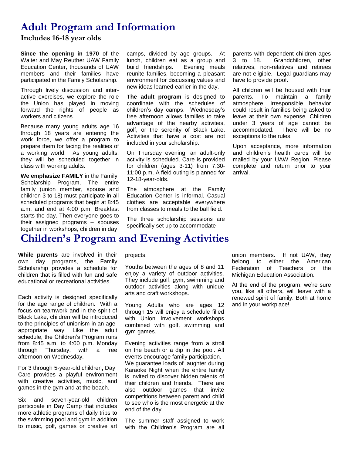## **Adult Program and Information**

**Includes 16-18 year olds**

**Since the opening in 1970** of the Walter and May Reuther UAW Family Education Center, thousands of UAW members and their families have participated in the Family Scholarship.

Through lively discussion and interactive exercises, we explore the role the Union has played in moving forward the rights of people as workers and citizens.

Because many young adults age 16 through 18 years are entering the work force, we offer a program to prepare them for facing the realities of a working world. As young adults, they will be scheduled together in class with working adults.

**We emphasize FAMILY** in the Family Scholarship Program. The entire family (union member, spouse and children 3 to 18) must participate in all scheduled programs that begin at 8:45 a.m. and end at 4:00 p.m. Breakfast starts the day. Then everyone goes to their assigned programs – spouses together in workshops, children in day

camps, divided by age groups. At lunch, children eat as a group and<br>build friendships. Evening meals build friendships. reunite families, becoming a pleasant environment for discussing values and new ideas learned earlier in the day.

**The adult program** is designed to coordinate with the schedules of children's day camps. Wednesday's free afternoon allows families to take advantage of the nearby activities, golf, or the serenity of Black Lake. Activities that have a cost are not included in your scholarship.

On Thursday evening, an adult-only activity is scheduled. Care is provided for children (ages 3-11) from 7:30- 11:00 p.m. A field outing is planned for 12-18-year-olds.

The atmosphere at the Family Education Center is informal. Casual clothes are acceptable everywhere from classes to meals to the ball field.

The three scholarship sessions are specifically set up to accommodate

parents with dependent children ages 3 to 18. Grandchildren, other relatives, non-relatives and retirees are not eligible. Legal guardians may have to provide proof.

All children will be housed with their parents. To maintain a family atmosphere, irresponsible behavior could result in families being asked to leave at their own expense. Children under 3 years of age cannot be accommodated. There will be no exceptions to the rules.

Upon acceptance, more information and children's health cards will be mailed by your UAW Region. Please complete and return prior to your arrival.

# **Children's Program and Evening Activities**

**While parents** are involved in their own day programs, the Family Scholarship provides a schedule for children that is filled with fun and safe educational or recreational activities.

Each activity is designed specifically for the age range of children. With a focus on teamwork and in the spirit of Black Lake, children will be introduced to the principles of unionism in an ageappropriate way. Like the adult schedule, the Children's Program runs from 8:45 a.m. to 4:00 p.m. Monday through Thursday, with a free afternoon on Wednesday.

For 3 through 5-year-old children**,** Day Care provides a playful environment with creative activities, music, and games in the gym and at the beach.

Six and seven-year-old children participate in Day Camp that includes more athletic programs of daily trips to the swimming pool and gym in addition to music, golf, games or creative art

#### projects.

Youths between the ages of 8 and 11 enjoy a variety of outdoor activities. They include golf, gym, swimming and outdoor activities along with unique arts and craft workshops.

Young Adults who are ages 12 through 15 will enjoy a schedule filled with Union Involvement workshops combined with golf, swimming and gym games.

Evening activities range from a stroll on the beach or a dip in the pool. All events encourage family participation. We guarantee loads of laughter during Karaoke Night when the entire family is invited to discover hidden talents of their children and friends. There are

also outdoor games that invite competitions between parent and child to see who is the most energetic at the end of the day.

The summer staff assigned to work with the Children's Program are all union members. If not UAW, they belong to either the American Federation of Teachers or the Michigan Education Association.

At the end of the program, we're sure you, like all others, will leave with a renewed spirit of family. Both at home and in your workplace!